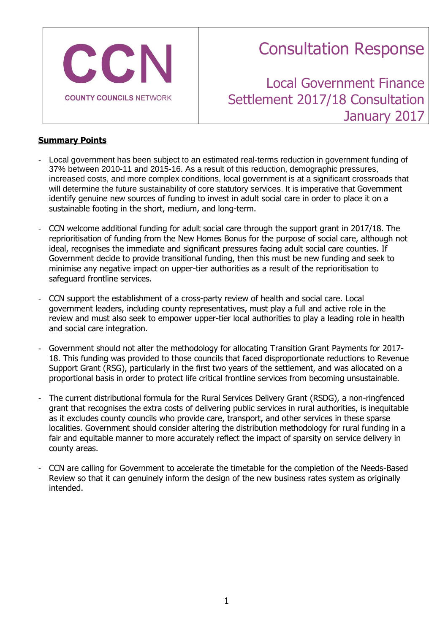

# Consultation Response

Local Government Finance Settlement 2017/18 Consultation January 2017

# **Summary Points**

- Local government has been subject to an estimated real-terms reduction in government funding of 37% between 2010-11 and 2015-16. As a result of this reduction, demographic pressures, increased costs, and more complex conditions, local government is at a significant crossroads that will determine the future sustainability of core statutory services. It is imperative that Government identify genuine new sources of funding to invest in adult social care in order to place it on a sustainable footing in the short, medium, and long-term.
- CCN welcome additional funding for adult social care through the support grant in 2017/18. The reprioritisation of funding from the New Homes Bonus for the purpose of social care, although not ideal, recognises the immediate and significant pressures facing adult social care counties. If Government decide to provide transitional funding, then this must be new funding and seek to minimise any negative impact on upper-tier authorities as a result of the reprioritisation to safeguard frontline services.
- CCN support the establishment of a cross-party review of health and social care. Local government leaders, including county representatives, must play a full and active role in the review and must also seek to empower upper-tier local authorities to play a leading role in health and social care integration.
- Government should not alter the methodology for allocating Transition Grant Payments for 2017- 18. This funding was provided to those councils that faced disproportionate reductions to Revenue Support Grant (RSG), particularly in the first two years of the settlement, and was allocated on a proportional basis in order to protect life critical frontline services from becoming unsustainable.
- The current distributional formula for the Rural Services Delivery Grant (RSDG), a non-ringfenced grant that recognises the extra costs of delivering public services in rural authorities, is inequitable as it excludes county councils who provide care, transport, and other services in these sparse localities. Government should consider altering the distribution methodology for rural funding in a fair and equitable manner to more accurately reflect the impact of sparsity on service delivery in county areas.
- CCN are calling for Government to accelerate the timetable for the completion of the Needs-Based Review so that it can genuinely inform the design of the new business rates system as originally intended.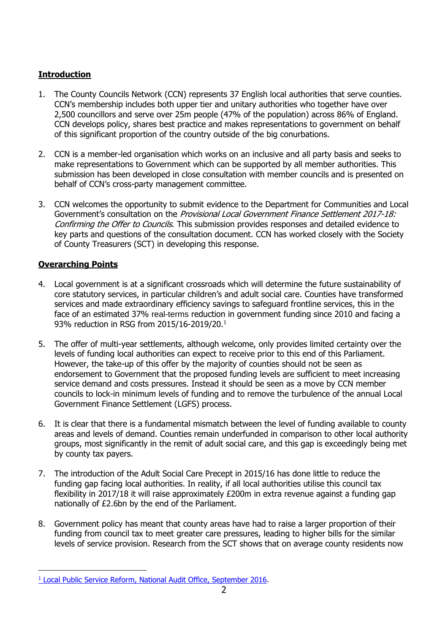# **Introduction**

- 1. The County Councils Network (CCN) represents 37 English local authorities that serve counties. CCN's membership includes both upper tier and unitary authorities who together have over 2,500 councillors and serve over 25m people (47% of the population) across 86% of England. CCN develops policy, shares best practice and makes representations to government on behalf of this significant proportion of the country outside of the big conurbations.
- 2. CCN is a member-led organisation which works on an inclusive and all party basis and seeks to make representations to Government which can be supported by all member authorities. This submission has been developed in close consultation with member councils and is presented on behalf of CCN's cross-party management committee.
- 3. CCN welcomes the opportunity to submit evidence to the Department for Communities and Local Government's consultation on the Provisional Local Government Finance Settlement 2017-18: Confirming the Offer to Councils. This submission provides responses and detailed evidence to key parts and questions of the consultation document. CCN has worked closely with the Society of County Treasurers (SCT) in developing this response.

# **Overarching Points**

- 4. Local government is at a significant crossroads which will determine the future sustainability of core statutory services, in particular children's and adult social care. Counties have transformed services and made extraordinary efficiency savings to safeguard frontline services, this in the face of an estimated 37% real-terms reduction in government funding since 2010 and facing a 93% reduction in RSG from 2015/16-2019/20.<sup>1</sup>
- 5. The offer of multi-year settlements, although welcome, only provides limited certainty over the levels of funding local authorities can expect to receive prior to this end of this Parliament. However, the take-up of this offer by the majority of counties should not be seen as endorsement to Government that the proposed funding levels are sufficient to meet increasing service demand and costs pressures. Instead it should be seen as a move by CCN member councils to lock-in minimum levels of funding and to remove the turbulence of the annual Local Government Finance Settlement (LGFS) process.
- 6. It is clear that there is a fundamental mismatch between the level of funding available to county areas and levels of demand. Counties remain underfunded in comparison to other local authority groups, most significantly in the remit of adult social care, and this gap is exceedingly being met by county tax payers.
- 7. The introduction of the Adult Social Care Precept in 2015/16 has done little to reduce the funding gap facing local authorities. In reality, if all local authorities utilise this council tax flexibility in 2017/18 it will raise approximately £200m in extra revenue against a funding gap nationally of £2.6bn by the end of the Parliament.
- 8. Government policy has meant that county areas have had to raise a larger proportion of their funding from council tax to meet greater care pressures, leading to higher bills for the similar levels of service provision. Research from the SCT shows that on average county residents now

<sup>1</sup> [Local Public Service Reform, National Audit Office, September 2016.](https://www.nao.org.uk/wp-content/uploads/2016/09/Local-public-service-reform.pdf)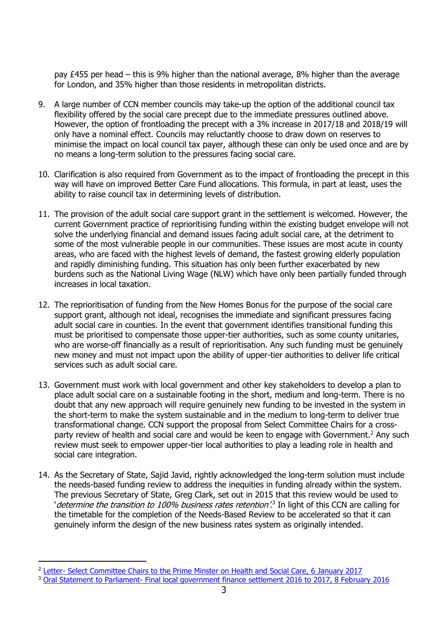pay £455 per head – this is 9% higher than the national average, 8% higher than the average for London, and 35% higher than those residents in metropolitan districts.

- 9. A large number of CCN member councils may take-up the option of the additional council tax flexibility offered by the social care precept due to the immediate pressures outlined above. However, the option of frontloading the precept with a 3% increase in 2017/18 and 2018/19 will only have a nominal effect. Councils may reluctantly choose to draw down on reserves to minimise the impact on local council tax payer, although these can only be used once and are by no means a long-term solution to the pressures facing social care.
- 10. Clarification is also required from Government as to the impact of frontloading the precept in this way will have on improved Better Care Fund allocations. This formula, in part at least, uses the ability to raise council tax in determining levels of distribution.
- 11. The provision of the adult social care support grant in the settlement is welcomed. However, the current Government practice of reprioritising funding within the existing budget envelope will not solve the underlying financial and demand issues facing adult social care, at the detriment to some of the most vulnerable people in our communities. These issues are most acute in county areas, who are faced with the highest levels of demand, the fastest growing elderly population and rapidly diminishing funding. This situation has only been further exacerbated by new burdens such as the National Living Wage (NLW) which have only been partially funded through increases in local taxation.
- 12. The reprioritisation of funding from the New Homes Bonus for the purpose of the social care support grant, although not ideal, recognises the immediate and significant pressures facing adult social care in counties. In the event that government identifies transitional funding this must be prioritised to compensate those upper-tier authorities, such as some county unitaries, who are worse-off financially as a result of reprioritisation. Any such funding must be genuinely new money and must not impact upon the ability of upper-tier authorities to deliver life critical services such as adult social care.
- 13. Government must work with local government and other key stakeholders to develop a plan to place adult social care on a sustainable footing in the short, medium and long-term. There is no doubt that any new approach will require genuinely new funding to be invested in the system in the short-term to make the system sustainable and in the medium to long-term to deliver true transformational change. CCN support the proposal from Select Committee Chairs for a crossparty review of health and social care and would be keen to engage with Government.<sup>2</sup> Any such review must seek to empower upper-tier local authorities to play a leading role in health and social care integration.
- 14. As the Secretary of State, Sajid Javid, rightly acknowledged the long-term solution must include the needs-based funding review to address the inequities in funding already within the system. The previous Secretary of State, Greg Clark, set out in 2015 that this review would be used to determine the transition to 100% business rates retention<sup>'3</sup> In light of this CCN are calling for the timetable for the completion of the Needs-Based Review to be accelerated so that it can genuinely inform the design of the new business rates system as originally intended.

<sup>&</sup>lt;sup>2</sup> Letter- [Select Committee Chairs to the Prime Minster on Health and Social Care, 6 January 2017](http://www.publications.parliament.uk/pa/cm201617/cmselect/cmcomloc/170106-Letter-to-Prime-Minister-on-social-care-and-NHS.pdf)

<sup>&</sup>lt;sup>3</sup> Oral Statement to Parliament- [Final local government finance settlement 2016 to 2017, 8 February 2016](https://www.gov.uk/government/speeches/final-local-government-finance-settlement-2016-to-2017)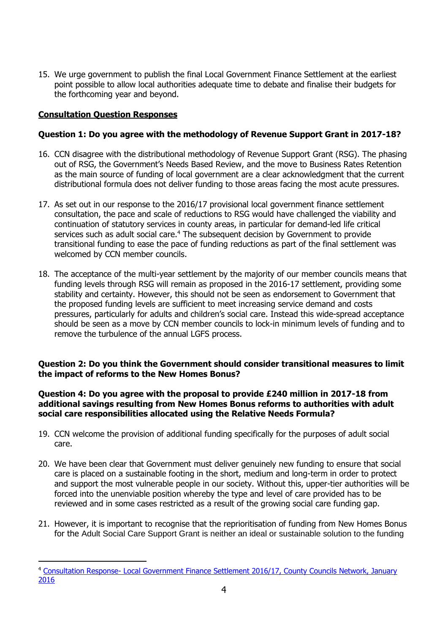15. We urge government to publish the final Local Government Finance Settlement at the earliest point possible to allow local authorities adequate time to debate and finalise their budgets for the forthcoming year and beyond.

# **Consultation Question Responses**

-

# **Question 1: Do you agree with the methodology of Revenue Support Grant in 2017-18?**

- 16. CCN disagree with the distributional methodology of Revenue Support Grant (RSG). The phasing out of RSG, the Government's Needs Based Review, and the move to Business Rates Retention as the main source of funding of local government are a clear acknowledgment that the current distributional formula does not deliver funding to those areas facing the most acute pressures.
- 17. As set out in our response to the 2016/17 provisional local government finance settlement consultation, the pace and scale of reductions to RSG would have challenged the viability and continuation of statutory services in county areas, in particular for demand-led life critical services such as adult social care.<sup>4</sup> The subsequent decision by Government to provide transitional funding to ease the pace of funding reductions as part of the final settlement was welcomed by CCN member councils.
- 18. The acceptance of the multi-year settlement by the majority of our member councils means that funding levels through RSG will remain as proposed in the 2016-17 settlement, providing some stability and certainty. However, this should not be seen as endorsement to Government that the proposed funding levels are sufficient to meet increasing service demand and costs pressures, particularly for adults and children's social care. Instead this wide-spread acceptance should be seen as a move by CCN member councils to lock-in minimum levels of funding and to remove the turbulence of the annual LGFS process.

## **Question 2: Do you think the Government should consider transitional measures to limit the impact of reforms to the New Homes Bonus?**

## **Question 4: Do you agree with the proposal to provide £240 million in 2017-18 from additional savings resulting from New Homes Bonus reforms to authorities with adult social care responsibilities allocated using the Relative Needs Formula?**

- 19. CCN welcome the provision of additional funding specifically for the purposes of adult social care.
- 20. We have been clear that Government must deliver genuinely new funding to ensure that social care is placed on a sustainable footing in the short, medium and long-term in order to protect and support the most vulnerable people in our society. Without this, upper-tier authorities will be forced into the unenviable position whereby the type and level of care provided has to be reviewed and in some cases restricted as a result of the growing social care funding gap.
- 21. However, it is important to recognise that the reprioritisation of funding from New Homes Bonus for the Adult Social Care Support Grant is neither an ideal or sustainable solution to the funding

<sup>4</sup> Consultation Response- [Local Government Finance Settlement 2016/17, County Councils Network, January](http://www.countycouncilsnetwork.org.uk/library/july-2013/file115/)  [2016](http://www.countycouncilsnetwork.org.uk/library/july-2013/file115/)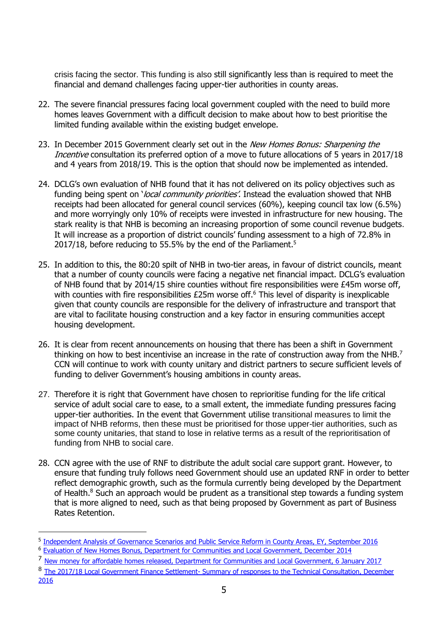crisis facing the sector. This funding is also still significantly less than is required to meet the financial and demand challenges facing upper-tier authorities in county areas.

- 22. The severe financial pressures facing local government coupled with the need to build more homes leaves Government with a difficult decision to make about how to best prioritise the limited funding available within the existing budget envelope.
- 23. In December 2015 Government clearly set out in the New Homes Bonus: Sharpening the Incentive consultation its preferred option of a move to future allocations of 5 years in 2017/18 and 4 years from 2018/19. This is the option that should now be implemented as intended.
- 24. DCLG's own evaluation of NHB found that it has not delivered on its policy objectives such as funding being spent on '*local community priorities'*. Instead the evaluation showed that NHB receipts had been allocated for general council services (60%), keeping council tax low (6.5%) and more worryingly only 10% of receipts were invested in infrastructure for new housing. The stark reality is that NHB is becoming an increasing proportion of some council revenue budgets. It will increase as a proportion of district councils' funding assessment to a high of 72.8% in 2017/18, before reducing to 55.5% by the end of the Parliament.<sup>5</sup>
- 25. In addition to this, the 80:20 spilt of NHB in two-tier areas, in favour of district councils, meant that a number of county councils were facing a negative net financial impact. DCLG's evaluation of NHB found that by 2014/15 shire counties without fire responsibilities were £45m worse off, with counties with fire responsibilities £25m worse off.<sup>6</sup> This level of disparity is inexplicable given that county councils are responsible for the delivery of infrastructure and transport that are vital to facilitate housing construction and a key factor in ensuring communities accept housing development.
- 26. It is clear from recent announcements on housing that there has been a shift in Government thinking on how to best incentivise an increase in the rate of construction away from the NHB.<sup>7</sup> CCN will continue to work with county unitary and district partners to secure sufficient levels of funding to deliver Government's housing ambitions in county areas.
- 27. Therefore it is right that Government have chosen to reprioritise funding for the life critical service of adult social care to ease, to a small extent, the immediate funding pressures facing upper-tier authorities. In the event that Government utilise transitional measures to limit the impact of NHB reforms, then these must be prioritised for those upper-tier authorities, such as some county unitaries, that stand to lose in relative terms as a result of the reprioritisation of funding from NHB to social care.
- 28. CCN agree with the use of RNF to distribute the adult social care support grant. However, to ensure that funding truly follows need Government should use an updated RNF in order to better reflect demographic growth, such as the formula currently being developed by the Department of Health. <sup>8</sup> Such an approach would be prudent as a transitional step towards a funding system that is more aligned to need, such as that being proposed by Government as part of Business Rates Retention.

<sup>8</sup> The 2017/18 Local Government Finance Settlement- Summary of responses to the Technical Consultation, December

<sup>&</sup>lt;sup>5</sup> [Independent Analysis of Governance Scenarios and Public Service Reform in County Areas, EY, September 2016](http://www.countycouncilsnetwork.org.uk/assets/legacy/getasset?id=fAA0ADMAMAB8AHwAVAByAHUAZQB8AHwAMAB8AA2) <sup>6</sup> [Evaluation of New Homes Bonus, Department for Communities and Local Government, December 2014](https://www.gov.uk/government/uploads/system/uploads/attachment_data/file/387152/NHB_Evaluation_FINAL_report.pdf)

<sup>7</sup> [New money for affordable homes released, Department for Communities and Local Government, 6 January 2017](https://www.gov.uk/government/news/new-money-for-affordable-homes-released)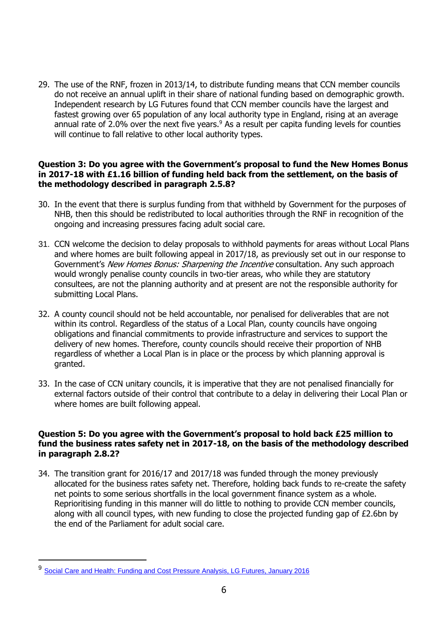29. The use of the RNF, frozen in 2013/14, to distribute funding means that CCN member councils do not receive an annual uplift in their share of national funding based on demographic growth. Independent research by LG Futures found that CCN member councils have the largest and fastest growing over 65 population of any local authority type in England, rising at an average annual rate of 2.0% over the next five years. $9$  As a result per capita funding levels for counties will continue to fall relative to other local authority types.

## **Question 3: Do you agree with the Government's proposal to fund the New Homes Bonus in 2017-18 with £1.16 billion of funding held back from the settlement, on the basis of the methodology described in paragraph 2.5.8?**

- 30. In the event that there is surplus funding from that withheld by Government for the purposes of NHB, then this should be redistributed to local authorities through the RNF in recognition of the ongoing and increasing pressures facing adult social care.
- 31. CCN welcome the decision to delay proposals to withhold payments for areas without Local Plans and where homes are built following appeal in 2017/18, as previously set out in our response to Government's New Homes Bonus: Sharpening the Incentive consultation. Any such approach would wrongly penalise county councils in two-tier areas, who while they are statutory consultees, are not the planning authority and at present are not the responsible authority for submitting Local Plans.
- 32. A county council should not be held accountable, nor penalised for deliverables that are not within its control. Regardless of the status of a Local Plan, county councils have ongoing obligations and financial commitments to provide infrastructure and services to support the delivery of new homes. Therefore, county councils should receive their proportion of NHB regardless of whether a Local Plan is in place or the process by which planning approval is granted.
- 33. In the case of CCN unitary councils, it is imperative that they are not penalised financially for external factors outside of their control that contribute to a delay in delivering their Local Plan or where homes are built following appeal.

### **Question 5: Do you agree with the Government's proposal to hold back £25 million to fund the business rates safety net in 2017-18, on the basis of the methodology described in paragraph 2.8.2?**

34. The transition grant for 2016/17 and 2017/18 was funded through the money previously allocated for the business rates safety net. Therefore, holding back funds to re-create the safety net points to some serious shortfalls in the local government finance system as a whole. Reprioritising funding in this manner will do little to nothing to provide CCN member councils, along with all council types, with new funding to close the projected funding gap of £2.6bn by the end of the Parliament for adult social care.

<sup>9</sup> [Social Care and Health: Funding and Cost Pressure Analysis, LG Futures, January 2016](http://www.countycouncilsnetwork.org.uk/assets/legacy/getasset?id=fAAzADQANgB8AHwAVAByAHUAZQB8AHwAMAB8AA2)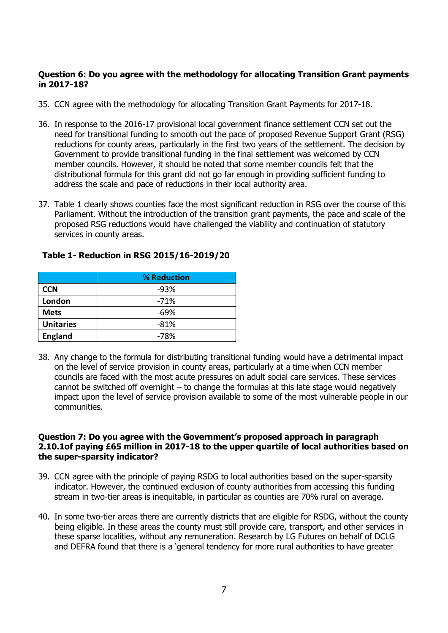## **Question 6: Do you agree with the methodology for allocating Transition Grant payments in 2017-18?**

- 35. CCN agree with the methodology for allocating Transition Grant Payments for 2017-18.
- 36. In response to the 2016-17 provisional local government finance settlement CCN set out the need for transitional funding to smooth out the pace of proposed Revenue Support Grant (RSG) reductions for county areas, particularly in the first two years of the settlement. The decision by Government to provide transitional funding in the final settlement was welcomed by CCN member councils. However, it should be noted that some member councils felt that the distributional formula for this grant did not go far enough in providing sufficient funding to address the scale and pace of reductions in their local authority area.
- 37. Table 1 clearly shows counties face the most significant reduction in RSG over the course of this Parliament. Without the introduction of the transition grant payments, the pace and scale of the proposed RSG reductions would have challenged the viability and continuation of statutory services in county areas.

|                  | % Reduction |
|------------------|-------------|
| <b>CCN</b>       | $-93%$      |
| London           | $-71%$      |
| <b>Mets</b>      | -69%        |
| <b>Unitaries</b> | $-81%$      |
| <b>England</b>   | $-78%$      |

## **Table 1- Reduction in RSG 2015/16-2019/20**

38. Any change to the formula for distributing transitional funding would have a detrimental impact on the level of service provision in county areas, particularly at a time when CCN member councils are faced with the most acute pressures on adult social care services. These services cannot be switched off overnight – to change the formulas at this late stage would negatively impact upon the level of service provision available to some of the most vulnerable people in our communities.

### **Question 7: Do you agree with the Government's proposed approach in paragraph 2.10.1of paying £65 million in 2017-18 to the upper quartile of local authorities based on the super-sparsity indicator?**

- 39. CCN agree with the principle of paying RSDG to local authorities based on the super-sparsity indicator. However, the continued exclusion of county authorities from accessing this funding stream in two-tier areas is inequitable, in particular as counties are 70% rural on average.
- 40. In some two-tier areas there are currently districts that are eligible for RSDG, without the county being eligible. In these areas the county must still provide care, transport, and other services in these sparse localities, without any remuneration. Research by LG Futures on behalf of DCLG and DEFRA found that there is a 'general tendency for more rural authorities to have greater